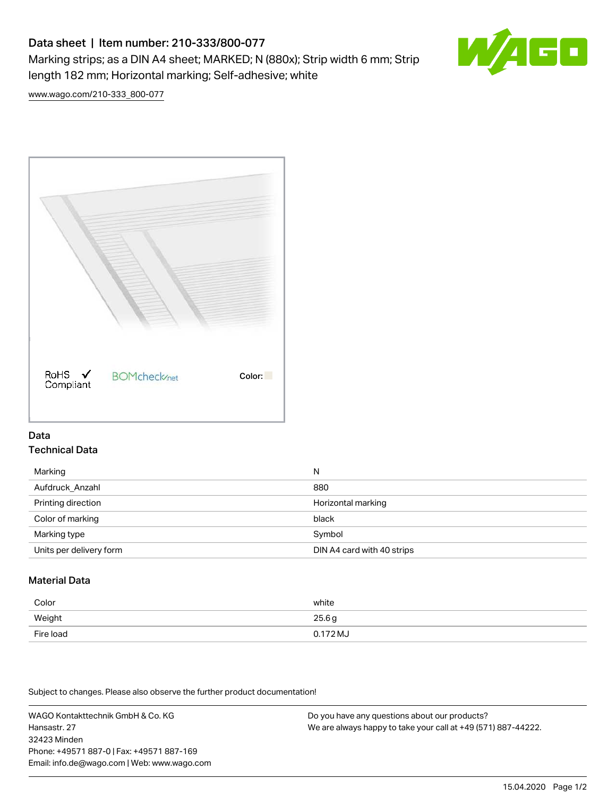# Data sheet | Item number: 210-333/800-077

Marking strips; as a DIN A4 sheet; MARKED; N (880x); Strip width 6 mm; Strip length 182 mm; Horizontal marking; Self-adhesive; white



[www.wago.com/210-333\\_800-077](http://www.wago.com/210-333_800-077)



#### Data Technical Data

| Marking                 | N                          |
|-------------------------|----------------------------|
| Aufdruck_Anzahl         | 880                        |
| Printing direction      | Horizontal marking         |
| Color of marking        | black                      |
| Marking type            | Symbol                     |
| Units per delivery form | DIN A4 card with 40 strips |

## Material Data

| Color     | white       |
|-----------|-------------|
| Weight    | 25.6g       |
| Fire load | $0.172 M_J$ |

Subject to changes. Please also observe the further product documentation!

WAGO Kontakttechnik GmbH & Co. KG Hansastr. 27 32423 Minden Phone: +49571 887-0 | Fax: +49571 887-169 Email: info.de@wago.com | Web: www.wago.com

Do you have any questions about our products? We are always happy to take your call at +49 (571) 887-44222.